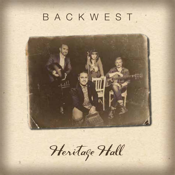# BACKWEST



Heritage Hall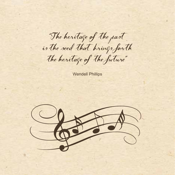"The heritage of the past is the seed that brings for th the heritage of the future"

Wendell Phillips

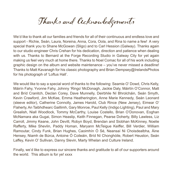Thanks and Acknowledgements

We'd like to thank all our families and friends for all of their continuous and endless love and support - Richie, Seán, Laura, Noreina, Anna, Cora, Oola, and Rina to name a few! A very special thank you to Shane McGowan (Sligo) and to Carl Hession (Galway). Thanks again to our studio engineer Chris Crehan for his dedication, direction and patience when dealing with us. Thanks to Bernard at the Forge Recording Studio in Galway City for yet again making us feel very much at home there. Thanks to Noel Comac for all of his work including graphic design on the album and website maintenance – you've never missed a deadline! Thanks to Matt Kavanagh for his classic photography and Brian Dempsey@IrelandsPhotos for his photograph of 'Loftus Hall'.

We would like to say a special word of thanks to the following: Seamie O' Dowd, Chris Kelly, Máirín Fahy, Yvonne Fahy, Johnny 'Ringo' McDonagh, Jackie Daly, Máirtín O'Connor, Matt and Bríd Cranitch, Declan Corey, Dave Munnelly, Deirbhile Ní Bhrolcháin, Seán Smyth, Kevin Crawford, Jim McKee, Emma Heatherington, Anne Marie Kennedy, Seán Leonard (sleeve editor), Catherine Connolly, James Harold, Club Rince (New Jersey), Eimear O' Flaherty, An Taibhdhearc Gaillimh, Gary Monroe, Paul Kelly (Indigo Lighting), Paul and Mary Grealish, Niall Woodlock, Tommy McCarthy, Louise Costello, Brian O'Donovan, Eoghan McNamara aka Gugai, Simon Heaslip, Keith Finnegan, Pearse Doherty, Billy Lawless, Liz Carroll, Jimmy Keane, John Devitt, Robyn Boyd, Brendan and Siobhan McKinney, Noelie Rafferty, Mike Shevlin, Paddy Homan, Maryann McTeigue Keiffer, Bill Verdier, William Ramoutar, Cindy Funk, Brian Hughes, Caoimhín Ó Sé, Neansaí Ni Choisdealbha, Áine Hensey, Niamh de Búrca, Antoine Ó Coileáin, Bríd Ní Chonghóile, Robert Heuston, Seán Laffey, Kevin O' Sullivan, Danny Slevin, Marty Whelan and Culture Ireland.

Finally, we'd like to express our sincere thanks and gratitude to all of our supporters around the world. This album is for ye! xxxx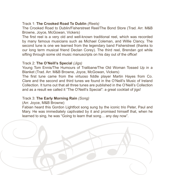## Track 1: **The Crooked Road To Dublin** *(Reels)*

The Crooked Road to Dublin/Fisherstreet Reel/The Bond Store (Trad. Arr. M&B Browne, Joyce, McGowan, Vickers)

The first reel is a very old and well-known traditional reel, which was recorded by many famous musicians such as Michael Coleman, and Willie Clancy. The second tune is one we learned from the legendary band Fisherstreet (thanks to our long term musical friend Declan Corey). The third reel, Brendan got while sifting through some old music manuscripts on his day out of the office!

## Track 2: **The O'Neill's Special** *(Jigs)*

Young Tom Ennis/The Humours of Tralibane/The Old Woman Tossed Up in a Blanket (Trad. Arr. M&B Browne, Joyce, McGowan, Vickers)

The first tune came from the virtuoso fiddle player Martin Hayes from Co. Clare and the second and third tunes we found in the O'Neill's Music of Ireland Collection. It turns out that all three tunes are published in the O'Neill's Collection and as a result we called it "The O'Neill's Special": a great cocktail of jigs!

## Track 3: **The Early Morning Rain** *(Song)*

## (Arr. Joyce, M&B Browne)

Fabian heard this Gordon Lightfoot song sung by the iconic trio Peter, Paul and Mary. He was immediately captivated by it and promised himself that, when he learned to sing, he was "Going to learn that song… any day now".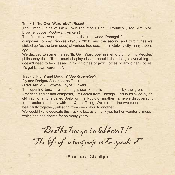#### Track 4: **"Its Own Wardrobe"** *(Reels)*

The Green Fields of Glen Town/The Mohill Reel/O'Rourkes (Trad. Arr. M&B Browne, Joyce, McGowan, Vickers)

The first tune was composed by the renowned Donegal fiddle maestro and composer Tommy Peoples (1948 - 2018) and the second and third tunes we picked up (as the term goes) at various trad sessions in Galway city many moons ago.

We decided to name the set "Its Own Wardrobe" in memory of Tommy Peoples' philosophy that, "If the music is played as it should, then it's got everything. It doesn't need to be dressed in rock clothes or jazz clothes or any other clothes. It's got its own wardrobe".

#### Track 5: **Flyin' and Dodgin'** *(Jaunty Air/Reel)*

Fly and Dodger/ Sailor on the Rock

(Trad. Arr. M&B Browne, Joyce, Vickers)

The opening tune is a stunning piece of music composed by the great Irish-American fiddler and composer, Liz Carroll from Chicago. This is followed by an old traditional tune called Sailor on the Rock, or another name we discovered it to be under is Johnny with the Queer Thing. We felt that the two tunes bonded beautifully together, pulsating from one colour to another.

We would like to dedicate this track to Liz, as a thank you for her wonderful music. which she has shared for so many years.

"Beatha teanga i a labhairt!"

"The life of a language is to speak it"

(Seanfhocal Ghaeilge)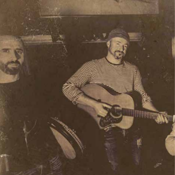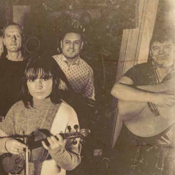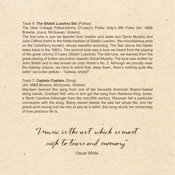### Track 6: **The Sliabh Luachra Set** *(Polkas)*

The Glen Cottage Polka/Johnny O'Leary's Polka/ Daly's Mill Polka (Arr. M&B Browne, Joyce, McGowan, Vickers)

The first tune is one we learned from brother and sister duo Denis Murphy and Julia Clifford (heirs to the fiddle tradition of Sliabh Luachra - the mountainous area on the Cork/Kerry border), whose beautiful recording, The Star above the Garter dates back to the 1960's. The second tune was a tune we heard from the playing of the great Johnny O'Leary (Sliabh Luachra). The last tune, we learned from the great playing of button accordion maestro Dónal Murphy. The tune was written by John Walsh and is also known as John Walsh's No. 2. Although we proudly wear the Galway colours, we have to admit that, deep down, there's nothing quite like beltin' out a few polkas – "Galway shtyle!"

## Track 7: **Captain Captain** *(Song)*

#### (Arr. M&B Browne, McGowan, Vickers)

Maureen learned this song from one of her favourite American Boston-based string bands, Crooked Still, who in turn got the song from Rebecca King Jones, a North Carolina folksinger from the mid-20th century. Maureen felt a particular connection with the song: Being reared beside the sea her whole life, and her grand-aunt having lost her son at sea as a sailor, this song struck her immensely of how precious life is.

"Music is the ar t which is most

nigh to tears and memory"

Oscar Wilde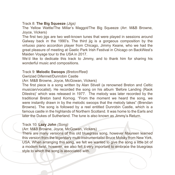#### Track 8: **The Big Squeeze** *(Jigs)*

The Yellow Wattle/The Millar's Maggot/The Big Squeeze (Arr. M&B Browne, Joyce, Vickers)

The first two jigs are two well-known tunes that were played in sessions around Galway back in the 1990's. The third jig is a gorgeous composition by the virtuoso piano accordion player from Chicago, Jimmy Keane, who we had the great pleasure of meeting at Gaelic Park Irish Festival in Chicago on BackWest's Maiden Voyage tour to the USA in 2017.

We'd like to dedicate this track to Jimmy, and to thank him for sharing his wonderful music and compositions.

## Track 9: **Melodic Swoops** *(Breton/Reel)*

#### Gwriziad Difennet/Dunrobin Castle

(Arr. M&B Browne, Joyce, McGowan, Vickers)

The first piece is a song written by Alan Stivell (a renowned Breton and Celtic musician/vocalist). He recorded the song on his album 'Before Landing (Raok Dilestra)' which was released in 1977. The melody was later recorded by the traditional Breton band Kornog. "From the moment we heard the song, we were instantly drawn in by the melodic swoops that the melody takes" (Brendan Browne). The song is followed by a reel entitled Dunrobin Castle, which is a famous castle in the highlands of Northern Scotland. It was home to the Earls and later the Dukes of Sutherland. The tune is also known as Jimmy's Return.

## Track 10: **Lazy John** *(Song)*

(Arr. M&B Browne, Joyce, McGowan, Vickers)

There are many versions of this old bluegrass song, however Maureen learned this version from the legendary multi-instrumentalist Bruce Molsky from New York, USA. When arranging this song, we felt we wanted to give the song a little bit of a modern twist, however, we also felt it very important to embrace the bluegrass style to which the song is associated with.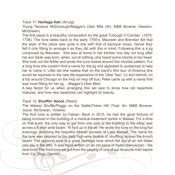## Track 11: **Heritage Hall** *(Air/Jig)*

Young Terrance McDonough/Maggie's Uber Mile (Arr. M&B Browne, Hession, McGowan)

The first piece is a beautiful composition by the great Turlough O'Carolan (1670- 1738). The tune dates back to the early 1700's. Maureen and Brendan felt that the style of the piece was quite in line with that of baroque music, hence they felt it only fitting to arrange it as they did with this in mind. Following this is a jig composed by Maureen. She was at home in her kitchen one day not long after her son Seán was born, when, out of nothing, she heard some chords in her head. She took out the fiddle and wrote the tune based around the chordal pattern. For a long time she couldn't find a name for the jig and appealed to audiences to help her to name it. Little did she realise that on the band's first tour of America she would be exposed to the new life experience of the 'Uber Taxi': Lo and behold, on a trip around Chicago on the Hop on Hop off bus, Peter came up with a name that was most fitting for her jig… Maggie's Uber Mile!

A key factor for us when arranging this set was to show how old repertoire matures, and how new repertoire can highlight its beauty.

# Track 12: **Shufflin' About** *(Reels)*

The Malawi Shuffle/Peggy on the Settle/Tinker Hill (Trad. Arr. M&B Browne, Joyce, McGowan, Vickers)

The first tune is written by Fabian. Back in 2015, he had the good fortune of being involved in the building of a medical treatment centre in Malawi. For a time on that build, the only way to get from one side of the building to the other was across a 6-inch wide beam, 16 foot up in the air. He wrote the tune on the long hot evenings, watching the beautiful African sunsets at Lake Malawi. The name for the tune was inspired by his daily high-wire routine of 'shuffling' across the 6-inch beam! The seccond tune is a great Donegal tune which fell out of an old folder one day in the attic. It was hand written on an old piece of music manuscript – the best kind! The third tune we got from the playing of one of our favourite Irish bands from Co. Sligo, Dervish.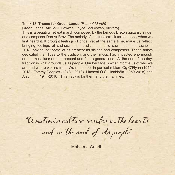## Track 13: **Theme for Green Lands** *(Retreat March)*

Green Lands (Arr. M&B Browne, Joyce, McGowan, Vickers)

This is a beautiful retreat march composed by the famous Breton guitarist, singer and composer Dan Ar Braz. The melody of this tune struck us so deeply when we first heard it. It brought feelings of pride, yet at the same time, made us reflect, bringing feelings of sadness. Irish traditional music saw much heartache in 2018, having lost some of its greatest musicians and composers. These artists dedicated their lives to the tradition, and their music has impacted enormously on the musicians of both present and future generations. At the end of the day, tradition is what grounds us as people. Our heritage is what informs us of who we are and where we are from. We remember in particular Liam Óg O'Flynn (1945- 2018), Tommy Peoples (1948 - 2018), Mícheál Ó Súilleabháin (1950-2018) and Alec Finn (1944-2018). This track is for them and their families.

"A nation's culture resides in the hear ts

and in the soul of its people"

Mahatma Gandhi